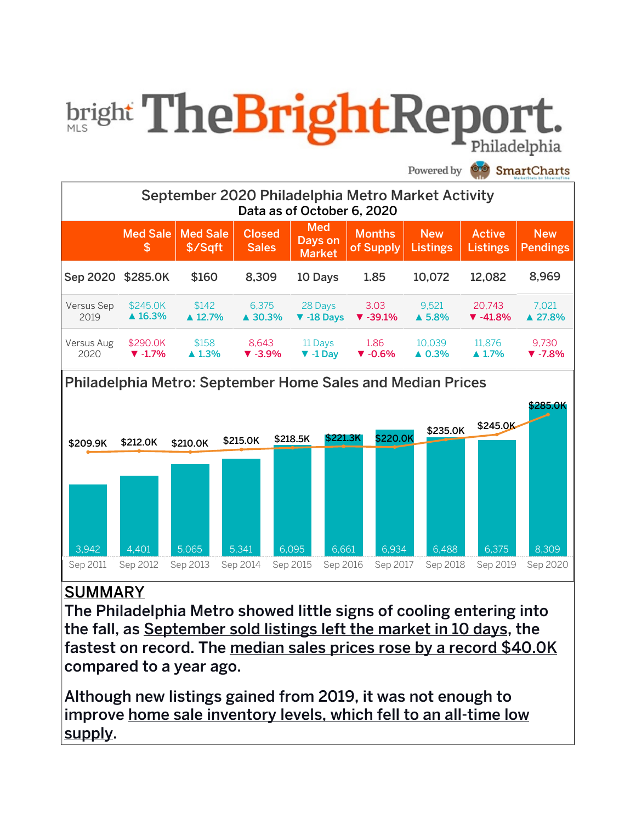# **bright TheBrightRepor**

Powered by **SmartCharts** 





## **SUMMARY**

The Philadelphia Metro showed little signs of cooling entering into the fall, as September sold listings left the market in 10 days, the fastest on record. The median sales prices rose by a record \$40.0K compared to a year ago.

Although new listings gained from 2019, it was not enough to improve home sale inventory levels, which fell to an all-time low supply.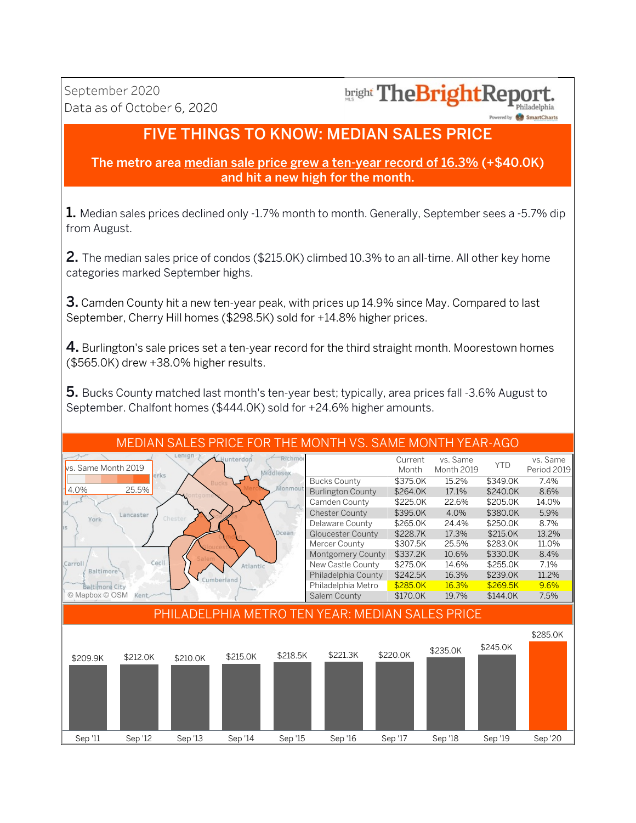## bright The Bright Report.

vered by **SmartCharts** 

## **FIVE THINGS TO KNOW: MEDIAN SALES PRICE**

#### The metro area median sale price grew a ten-year record of 16.3% (+\$40.0K) and hit a new high for the month.

**1.** Median sales prices declined only -1.7% month to month. Generally, September sees a -5.7% dip from August.

2. The median sales price of condos (\$215.0K) climbed 10.3% to an all-time. All other key home categories marked September highs.

3. Camden County hit a new ten-year peak, with prices up 14.9% since May. Compared to last September, Cherry Hill homes (\$298.5K) sold for +14.8% higher prices.

4. Burlington's sale prices set a ten-year record for the third straight month. Moorestown homes (\$565.0K) drew +38.0% higher results.

5. Bucks County matched last month's ten-year best; typically, area prices fall -3.6% August to September. Chalfont homes (\$444.0K) sold for +24.6% higher amounts.

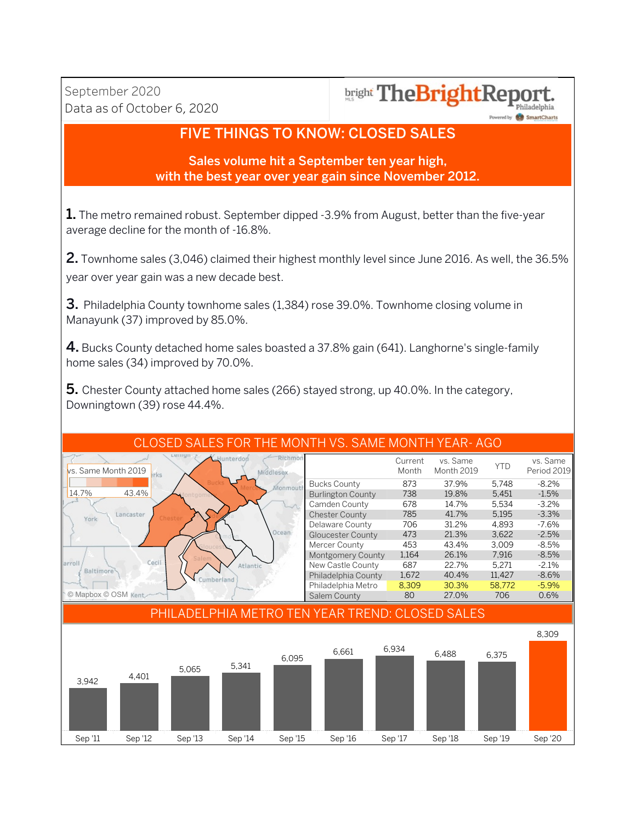## **bright TheBrightReport**

Powered by SmartCharts

## **FIVE THINGS TO KNOW: CLOSED SALES**

Sales volume hit a September ten year high, with the best year over year gain since November 2012.

1. The metro remained robust. September dipped -3.9% from August, better than the five-year average decline for the month of -16.8%.

2. Townhome sales (3,046) claimed their highest monthly level since June 2016. As well, the 36.5% year over year gain was a new decade best.

**3.** Philadelphia County townhome sales (1,384) rose 39.0%. Townhome closing volume in Manayunk (37) improved by 85.0%.

4. Bucks County detached home sales boasted a 37.8% gain (641). Langhorne's single-family home sales (34) improved by 70.0%.

**5.** Chester County attached home sales (266) stayed strong, up 40.0%. In the category, Downingtown (39) rose 44.4%.

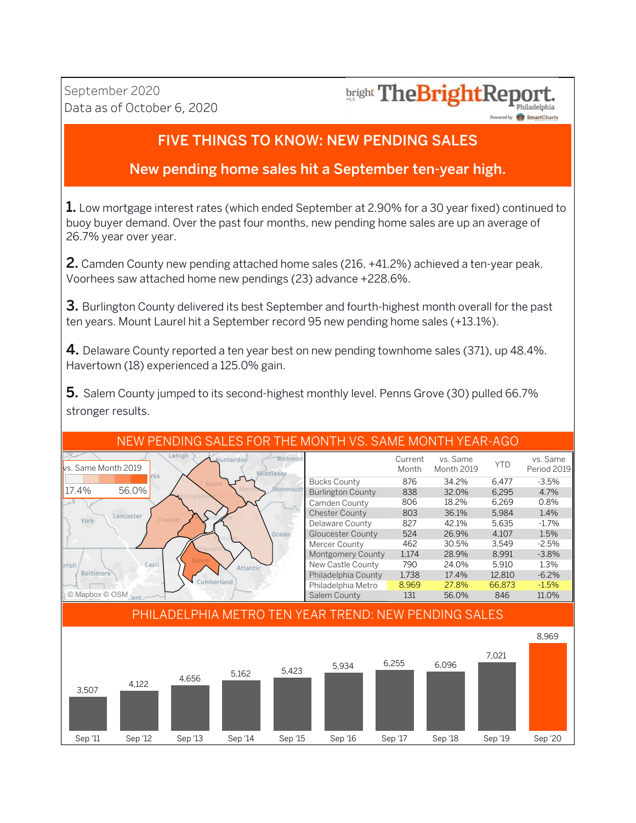## **bright TheBrightReport**

Powered by **SmartCharts** 

## FIVE THINGS TO KNOW: NEW PENDING SALES

## New pending home sales hit a September ten-year high.

**1.** Low mortgage interest rates (which ended September at 2.90% for a 30 year fixed) continued to buoy buyer demand. Over the past four months, new pending home sales are up an average of 26.7% year over year.

2. Camden County new pending attached home sales (216, +41.2%) achieved a ten-year peak. Voorhees saw attached home new pendings (23) advance +228.6%.

**3.** Burlington County delivered its best September and fourth-highest month overall for the past ten years. Mount Laurel hit a September record 95 new pending home sales (+13.1%).

**4.** Delaware County reported a ten year best on new pending townhome sales (371), up 48.4%. Havertown (18) experienced a 125.0% gain.

5. Salem County jumped to its second-highest monthly level. Penns Grove (30) pulled 66.7% stronger results.

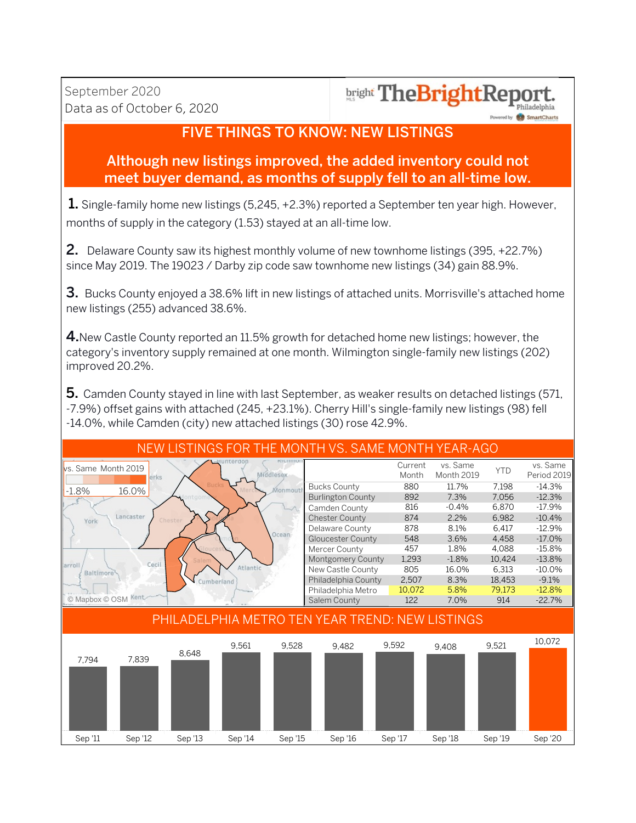## bright TheBrightReport

Powered by **CO** SmartCharts

## **FIVE THINGS TO KNOW: NEW LISTINGS**

## Although new listings improved, the added inventory could not meet buyer demand, as months of supply fell to an all-time low.

1. Single-family home new listings (5,245, +2.3%) reported a September ten year high. However, months of supply in the category (1.53) stayed at an all-time low.

2. Delaware County saw its highest monthly volume of new townhome listings (395, +22.7%) since May 2019. The 19023 / Darby zip code saw townhome new listings (34) gain 88.9%.

**3.** Bucks County enjoyed a 38.6% lift in new listings of attached units. Morrisville's attached home new listings (255) advanced 38.6%.

4. New Castle County reported an 11.5% growth for detached home new listings; however, the category's inventory supply remained at one month. Wilmington single-family new listings (202) improved 20.2%.

5. Camden County stayed in line with last September, as weaker results on detached listings (571, -7.9%) offset gains with attached (245, +23.1%). Cherry Hill's single-family new listings (98) fell -14.0%, while Camden (city) new attached listings (30) rose 42.9%.

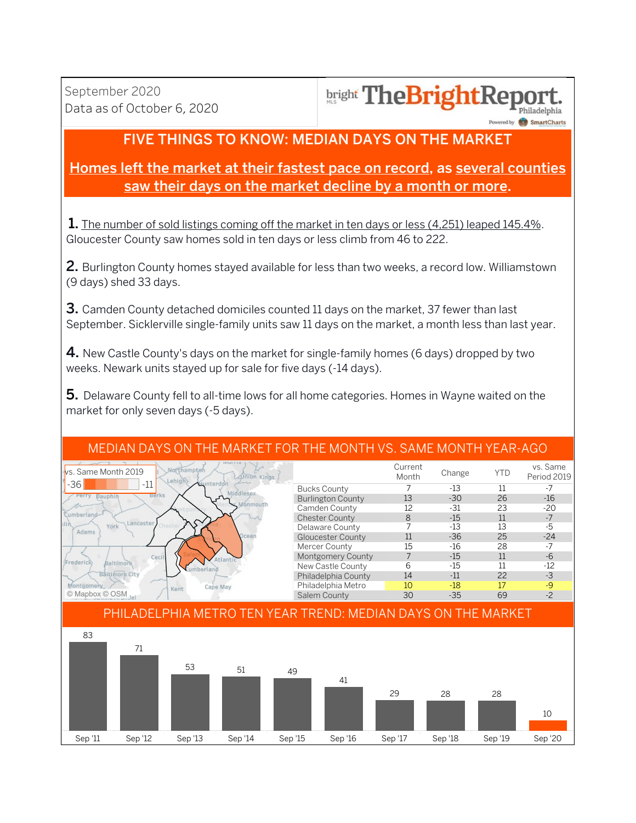#### **bright TheBrightRey** Philadelphia

wered by **SmartChart** 

## FIVE THINGS TO KNOW: MEDIAN DAYS ON THE MARKET

## Homes left the market at their fastest pace on record, as several counties saw their days on the market decline by a month or more.

**1.** The number of sold listings coming off the market in ten days or less (4,251) leaped 145.4%. Gloucester County saw homes sold in ten days or less climb from 46 to 222.

2. Burlington County homes stayed available for less than two weeks, a record low. Williamstown (9 days) shed 33 days.

3. Camden County detached domiciles counted 11 days on the market, 37 fewer than last September. Sicklerville single-family units saw 11 days on the market, a month less than last year.

4. New Castle County's days on the market for single-family homes (6 days) dropped by two weeks. Newark units stayed up for sale for five days (-14 days).

5. Delaware County fell to all-time lows for all home categories. Homes in Wayne waited on the market for only seven days (-5 days).

#### MEDIAN DAYS ON THE MARKET FOR THE MONTH VS. SAME MONTH YEAR-AGO

| <b>NIUE E13</b><br>Northampter<br>Ivs. Same Month 2019<br><b>AUTION Kings</b><br>Lehigh |                          | Current<br>Month | Change | YTD | vs. Same<br>Period 2019 |
|-----------------------------------------------------------------------------------------|--------------------------|------------------|--------|-----|-------------------------|
| $-36$<br>$-11$<br>Hunterdon                                                             | <b>Bucks County</b>      |                  | $-13$  |     |                         |
| Berks                                                                                   | <b>Burlington County</b> | 13               | $-30$  | 26  | $-16$                   |
| bnmouth                                                                                 | Camden County            | 12               | $-31$  | 23  | $-20$                   |
| umberland-                                                                              | <b>Chester County</b>    | 8                | $-15$  |     |                         |
| Lancaster<br>York<br>Adams                                                              | Delaware County          |                  | $-13$  | 13  | $-5$                    |
| Ocean                                                                                   | Gloucester County        | 11               | $-36$  | 25  | $-24$                   |
|                                                                                         | Mercer County            | 15               | $-16$  | 28  | -7                      |
| Cecil                                                                                   | <b>Montgomery County</b> |                  | $-15$  | 11  | -6                      |
| Frederick<br>Baltimore<br>umberland                                                     | New Castle County        | h                | $-15$  |     | $-12$                   |
| <b>Baltimore City</b>                                                                   | Philadelphia County      | 14               | $-11$  | 22  | $-3$                    |
| Cape May<br>Kent                                                                        | Philadelphia Metro       | 10               | $-18$  | 17  | $-9$                    |
| © Mapbox © OSM                                                                          | Salem County             | 30               | $-35$  | 69  | $-2$                    |

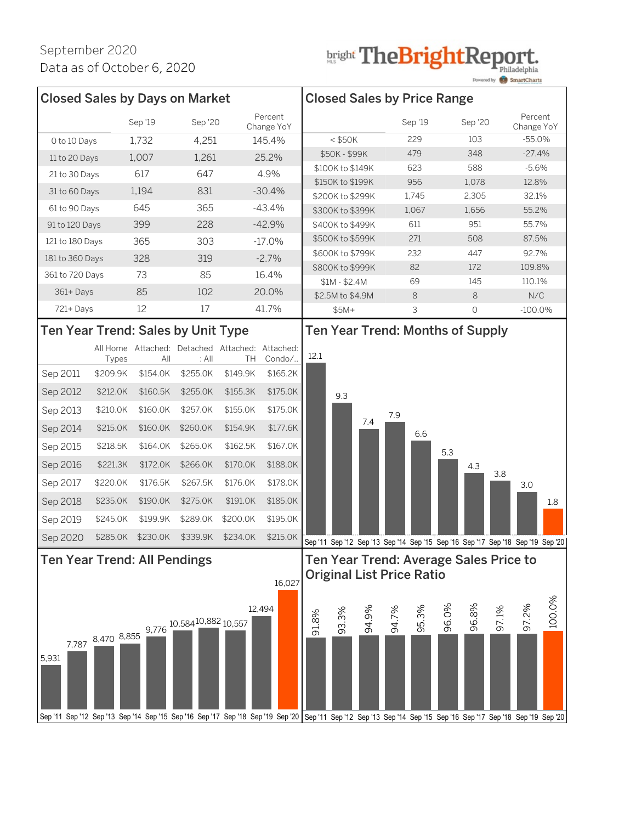## **bright TheBrightReport.**

|                                                                                                                                                                 |                   |                                  |                                                          |          |                       |                                    |                                      |       |       |            |       |                                         |       | Powered by <b>SMART Smart</b> Charts                                            |        |
|-----------------------------------------------------------------------------------------------------------------------------------------------------------------|-------------------|----------------------------------|----------------------------------------------------------|----------|-----------------------|------------------------------------|--------------------------------------|-------|-------|------------|-------|-----------------------------------------|-------|---------------------------------------------------------------------------------|--------|
| <b>Closed Sales by Days on Market</b>                                                                                                                           |                   |                                  |                                                          |          |                       | <b>Closed Sales by Price Range</b> |                                      |       |       |            |       |                                         |       |                                                                                 |        |
|                                                                                                                                                                 |                   | Sep '19                          | Sep '20                                                  |          | Percent<br>Change YoY |                                    |                                      |       |       | Sep '19    |       | Sep '20                                 |       | Percent<br>Change YoY                                                           |        |
| O to 10 Days                                                                                                                                                    |                   | 1,732                            | 4,251                                                    |          | 145.4%                |                                    | $<$ \$50K                            |       |       | 229        |       | 103                                     |       | $-55.0%$                                                                        |        |
| 11 to 20 Days                                                                                                                                                   |                   | 1,007                            | 1,261                                                    |          | 25.2%                 |                                    | \$50K - \$99K                        |       |       | 479        |       | 348                                     |       | $-27.4%$                                                                        |        |
| 21 to 30 Days                                                                                                                                                   |                   | 617                              | 647                                                      |          | 4.9%                  |                                    | \$100K to \$149K                     |       |       | 623        |       | 588                                     |       | $-5.6%$                                                                         |        |
| 31 to 60 Days                                                                                                                                                   |                   | 1,194                            | 831                                                      |          | $-30.4%$              |                                    | \$150K to \$199K                     |       |       | 956        |       | 1,078                                   |       | 12.8%                                                                           |        |
| 61 to 90 Days                                                                                                                                                   |                   | 645                              | 365                                                      |          | $-43.4%$              |                                    | \$200K to \$299K                     |       |       | 1,745      |       | 2,305                                   |       | 32.1%                                                                           |        |
|                                                                                                                                                                 |                   |                                  |                                                          |          |                       |                                    | \$300K to \$399K                     |       |       | 1,067      |       | 1,656<br>951                            |       | 55.2%<br>55.7%                                                                  |        |
| 91 to 120 Days                                                                                                                                                  |                   | 399                              | 228                                                      |          | $-42.9%$              |                                    | \$400K to \$499K<br>\$500K to \$599K |       |       | 611<br>271 |       | 508                                     |       | 87.5%                                                                           |        |
| 121 to 180 Days                                                                                                                                                 |                   | 365                              | 303                                                      |          | $-17.0%$              |                                    | \$600K to \$799K                     |       |       | 232        |       | 447                                     |       | 92.7%                                                                           |        |
| 181 to 360 Days                                                                                                                                                 |                   | 328                              | 319                                                      |          | $-2.7%$               |                                    | \$800K to \$999K                     |       |       | 82         |       | 172                                     |       | 109.8%                                                                          |        |
| 361 to 720 Days                                                                                                                                                 |                   | 73                               | 85                                                       |          | 16.4%                 |                                    | $$1M - $2.4M$                        |       |       | 69         |       | 145                                     |       | 110.1%                                                                          |        |
| 361+Days                                                                                                                                                        |                   | 85                               | 102                                                      |          | 20.0%                 |                                    | \$2.5M to \$4.9M                     |       |       | 8          |       | $\,8\,$                                 |       | N/C                                                                             |        |
| 721+Days                                                                                                                                                        |                   | 12                               | 17                                                       |          | 41.7%                 |                                    | $$5M+$                               |       |       | 3          |       | $\bigcirc$                              |       | $-100.0\%$                                                                      |        |
| Ten Year Trend: Sales by Unit Type                                                                                                                              |                   |                                  |                                                          |          |                       |                                    |                                      |       |       |            |       | <b>Ten Year Trend: Months of Supply</b> |       |                                                                                 |        |
|                                                                                                                                                                 | Types             | All                              | All Home Attached: Detached Attached: Attached:<br>: All | TH       | Condo/                | 12.1                               |                                      |       |       |            |       |                                         |       |                                                                                 |        |
| Sep 2011                                                                                                                                                        | \$209.9K          | \$154.0K                         | \$255.0K                                                 | \$149.9K | \$165.2K              |                                    |                                      |       |       |            |       |                                         |       |                                                                                 |        |
|                                                                                                                                                                 |                   |                                  |                                                          |          |                       |                                    |                                      |       |       |            |       |                                         |       |                                                                                 |        |
| Sep 2012                                                                                                                                                        | \$212.0K          | \$160.5K                         | \$255.0K                                                 | \$155.3K | \$175.0K              |                                    | 9.3                                  |       |       |            |       |                                         |       |                                                                                 |        |
| Sep 2013                                                                                                                                                        | \$210.0K          | \$160.0K                         | \$257.0K                                                 | \$155.0K | \$175.0K              |                                    |                                      | 7.4   | 7.9   |            |       |                                         |       |                                                                                 |        |
| Sep 2014                                                                                                                                                        | \$215.0K          | \$160.0K                         | \$260.0K                                                 | \$154.9K | \$177.6K              |                                    |                                      |       |       | 6.6        |       |                                         |       |                                                                                 |        |
| Sep 2015                                                                                                                                                        | \$218.5K          | \$164.0K                         | \$265.0K                                                 | \$162.5K | \$167.0K              |                                    |                                      |       |       |            | 5.3   |                                         |       |                                                                                 |        |
| Sep 2016                                                                                                                                                        | \$221.3K          | \$172.0K                         | \$266.0K                                                 | \$170.0K | \$188.0K              |                                    |                                      |       |       |            |       | 4.3                                     |       |                                                                                 |        |
| Sep 2017                                                                                                                                                        | \$220.0K          | \$176.5K                         | \$267.5K                                                 | \$176.0K | \$178.0K              |                                    |                                      |       |       |            |       |                                         | 3.8   | 3.0                                                                             |        |
| Sep 2018                                                                                                                                                        | \$235.0K          | \$190.0K                         | \$275.0K                                                 | \$191.0K | \$185.0K              |                                    |                                      |       |       |            |       |                                         |       |                                                                                 | 1.8    |
|                                                                                                                                                                 |                   |                                  |                                                          | \$200.0K | \$195.0K              |                                    |                                      |       |       |            |       |                                         |       |                                                                                 |        |
| Sep 2019                                                                                                                                                        | \$245.0K          | \$199.9K                         | \$289.0K                                                 |          |                       |                                    |                                      |       |       |            |       |                                         |       |                                                                                 |        |
| Sep 2020                                                                                                                                                        | \$285.0K          | \$230.0K                         | \$339.9K                                                 | \$234.0K | \$215.0K              |                                    |                                      |       |       |            |       |                                         |       | Sep '11 Sep '12 Sep '13 Sep '14 Sep '15 Sep '16 Sep '17 Sep '18 Sep '19 Sep '20 |        |
| <b>Ten Year Trend: All Pendings</b>                                                                                                                             |                   |                                  |                                                          |          |                       |                                    |                                      |       |       |            |       | Ten Year Trend: Average Sales Price to  |       |                                                                                 |        |
|                                                                                                                                                                 |                   | <b>Original List Price Ratio</b> |                                                          |          |                       |                                    |                                      |       |       |            |       |                                         |       |                                                                                 |        |
|                                                                                                                                                                 |                   |                                  |                                                          |          | 16,027                |                                    |                                      |       |       |            |       |                                         |       |                                                                                 |        |
|                                                                                                                                                                 |                   |                                  |                                                          |          | 12,494                |                                    |                                      |       |       |            | 96.0% | 96.8%                                   | 97.1% | 97.2%                                                                           | 100.0% |
|                                                                                                                                                                 |                   | 9,776                            | 10,58410,882 10,557                                      |          |                       | 91.8%                              | 93.3%                                | 94.9% | 94.7% | 95.3%      |       |                                         |       |                                                                                 |        |
|                                                                                                                                                                 | 7,787 8,470 8,855 |                                  |                                                          |          |                       |                                    |                                      |       |       |            |       |                                         |       |                                                                                 |        |
| 5,931                                                                                                                                                           |                   |                                  |                                                          |          |                       |                                    |                                      |       |       |            |       |                                         |       |                                                                                 |        |
|                                                                                                                                                                 |                   |                                  |                                                          |          |                       |                                    |                                      |       |       |            |       |                                         |       |                                                                                 |        |
|                                                                                                                                                                 |                   |                                  |                                                          |          |                       |                                    |                                      |       |       |            |       |                                         |       |                                                                                 |        |
|                                                                                                                                                                 |                   |                                  |                                                          |          |                       |                                    |                                      |       |       |            |       |                                         |       |                                                                                 |        |
| Sep '11 Sep '12 Sep '13 Sep '14 Sep '15 Sep '16 Sep '17 Sep '18 Sep '19 Sep '20 Sep '11 Sep '12 Sep '13 Sep '14 Sep '15 Sep '16 Sep '17 Sep '18 Sep '19 Sep '20 |                   |                                  |                                                          |          |                       |                                    |                                      |       |       |            |       |                                         |       |                                                                                 |        |